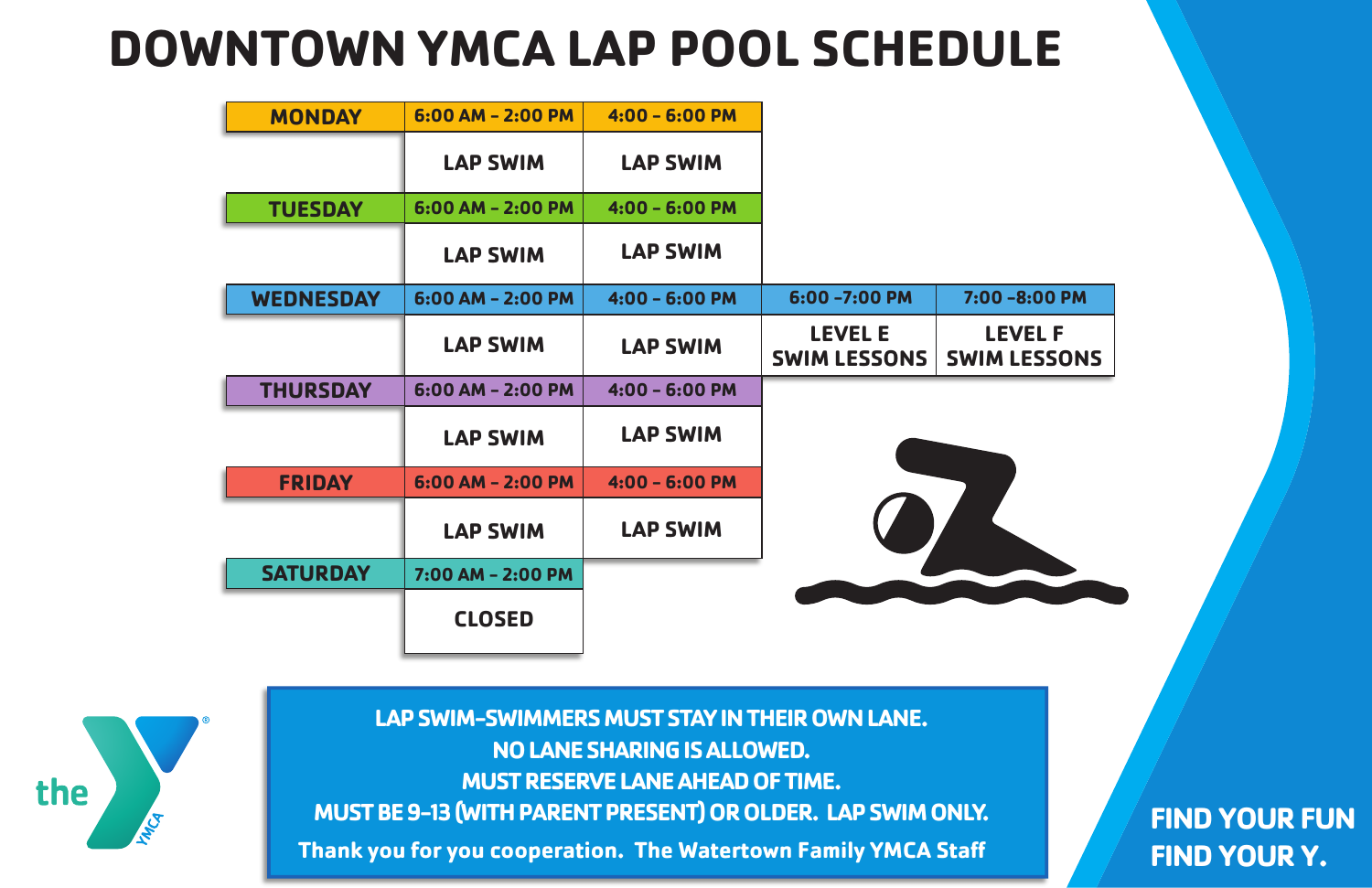| <b>MONDAY</b>    | $6:00$ AM - 2:00 PM | $4:00 - 6:00 P$ M |                                       |                   |
|------------------|---------------------|-------------------|---------------------------------------|-------------------|
|                  | <b>LAP SWIM</b>     | <b>LAP SWIM</b>   |                                       |                   |
| <b>TUESDAY</b>   | 6:00 AM - 2:00 PM   | $4:00 - 6:00$ PM  |                                       |                   |
|                  | <b>LAP SWIM</b>     | <b>LAP SWIM</b>   |                                       |                   |
| <b>WEDNESDAY</b> | $6:00$ AM - 2:00 PM | $4:00 - 6:00$ PM  | 6:00 -7:00 PM                         | 7:00              |
|                  | <b>LAP SWIM</b>     | <b>LAP SWIM</b>   | <b>LEVEL E</b><br><b>SWIM LESSONS</b> | LI<br><b>SWIM</b> |
| <b>THURSDAY</b>  | 6:00 AM - 2:00 PM   | $4:00 - 6:00$ PM  |                                       |                   |
|                  | <b>LAP SWIM</b>     | <b>LAP SWIM</b>   |                                       |                   |
| <b>FRIDAY</b>    | $6:00$ AM - 2:00 PM | $4:00 - 6:00$ PM  |                                       |                   |
|                  | <b>LAP SWIM</b>     | <b>LAP SWIM</b>   |                                       |                   |
| <b>SATURDAY</b>  | 7:00 AM - 2:00 PM   |                   |                                       |                   |
|                  | <b>CLOSED</b>       |                   |                                       |                   |

## **LEVEL F 7:00 -8:00 PM**

**LESSONS** 

## **DOWNTOWN YMCA LAP POOL SCHEDULE**

**FIND YOUR FUN FIND YOUR Y.**

**Thank you for you cooperation. The Watertown Family YMCA Sta LAP SWIM-SWIMMERS MUST STAY IN THEIR OWN LANE. NO LANE SHARING IS ALLOWED. MUST RESERVE LANE AHEAD OF TIME. MUST BE 9-13 (WITH PARENT PRESENT) OR OLDER. LAP SWIM ONLY.**